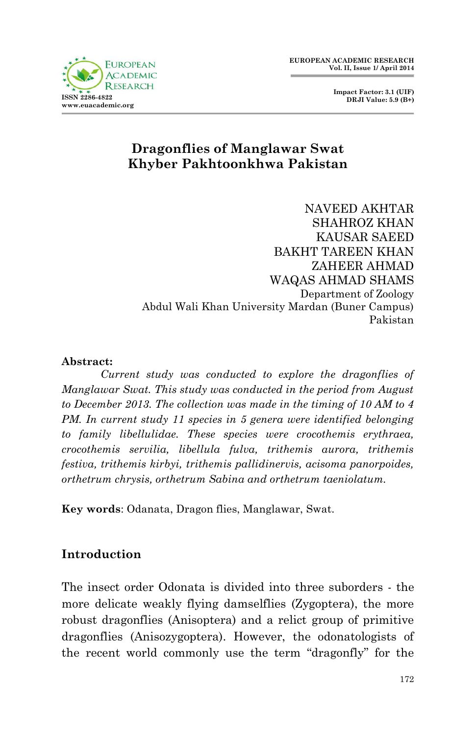**Impact Factor: 3.1 (UIF) DRJI Value: 5.9 (B+)**



# **Dragonflies of Manglawar Swat Khyber Pakhtoonkhwa Pakistan**

NAVEED AKHTAR SHAHROZ KHAN KAUSAR SAEED BAKHT TAREEN KHAN ZAHEER AHMAD WAQAS AHMAD SHAMS Department of Zoology Abdul Wali Khan University Mardan (Buner Campus) Pakistan

#### **Abstract:**

*Current study was conducted to explore the dragonflies of Manglawar Swat. This study was conducted in the period from August to December 2013. The collection was made in the timing of 10 AM to 4 PM. In current study 11 species in 5 genera were identified belonging to family libellulidae. These species were crocothemis erythraea, crocothemis servilia, libellula fulva, trithemis aurora, trithemis festiva, trithemis kirbyi, trithemis pallidinervis, acisoma panorpoides, orthetrum chrysis, orthetrum Sabina and orthetrum taeniolatum.*

**Key words**: Odanata, Dragon flies, Manglawar, Swat.

# **Introduction**

The insect order Odonata is divided into three suborders - the more delicate weakly flying damselflies (Zygoptera), the more robust dragonflies (Anisoptera) and a relict group of primitive dragonflies (Anisozygoptera). However, the odonatologists of the recent world commonly use the term "dragonfly" for the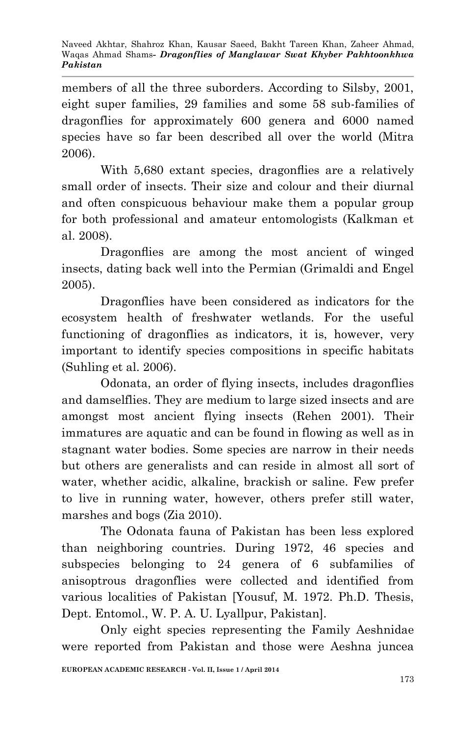Naveed Akhtar, Shahroz Khan, Kausar Saeed, Bakht Tareen Khan, Zaheer Ahmad, Waqas Ahmad Shams*- Dragonflies of Manglawar Swat Khyber Pakhtoonkhwa Pakistan*

members of all the three suborders. According to Silsby, 2001, eight super families, 29 families and some 58 sub-families of dragonflies for approximately 600 genera and 6000 named species have so far been described all over the world (Mitra 2006).

With 5,680 extant species, dragonflies are a relatively small order of insects. Their size and colour and their diurnal and often conspicuous behaviour make them a popular group for both professional and amateur entomologists (Kalkman et al. 2008).

Dragonflies are among the most ancient of winged insects, dating back well into the Permian (Grimaldi and Engel 2005).

Dragonflies have been considered as indicators for the ecosystem health of freshwater wetlands. For the useful functioning of dragonflies as indicators, it is, however, very important to identify species compositions in specific habitats (Suhling et al. 2006).

Odonata, an order of flying insects, includes dragonflies and damselflies. They are medium to large sized insects and are amongst most ancient flying insects (Rehen 2001). Their immatures are aquatic and can be found in flowing as well as in stagnant water bodies. Some species are narrow in their needs but others are generalists and can reside in almost all sort of water, whether acidic, alkaline, brackish or saline. Few prefer to live in running water, however, others prefer still water, marshes and bogs (Zia 2010).

The Odonata fauna of Pakistan has been less explored than neighboring countries. During 1972, 46 species and subspecies belonging to 24 genera of 6 subfamilies of anisoptrous dragonflies were collected and identified from various localities of Pakistan [Yousuf, M. 1972. Ph.D. Thesis, Dept. Entomol., W. P. A. U. Lyallpur, Pakistan].

Only eight species representing the Family Aeshnidae were reported from Pakistan and those were Aeshna juncea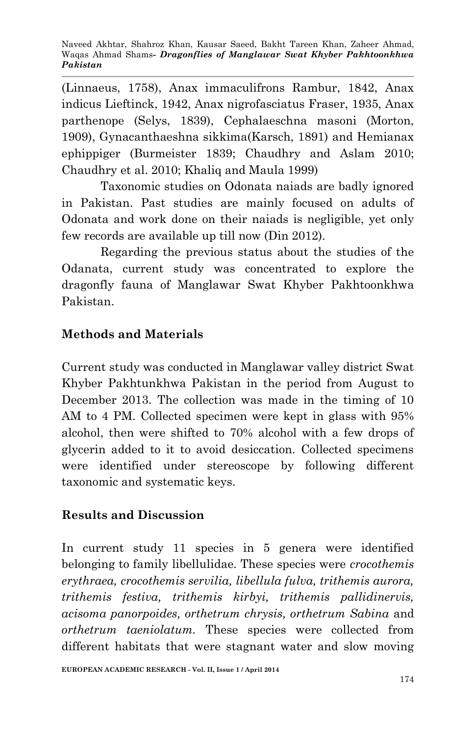(Linnaeus, 1758), Anax immaculifrons Rambur, 1842, Anax indicus Lieftinck, 1942, Anax nigrofasciatus Fraser, 1935, Anax parthenope (Selys, 1839), Cephalaeschna masoni (Morton, 1909), Gynacanthaeshna sikkima(Karsch, 1891) and Hemianax ephippiger (Burmeister 1839; Chaudhry and Aslam 2010; Chaudhry et al. 2010; Khaliq and Maula 1999)

Taxonomic studies on Odonata naiads are badly ignored in Pakistan. Past studies are mainly focused on adults of Odonata and work done on their naiads is negligible, yet only few records are available up till now (Din 2012).

Regarding the previous status about the studies of the Odanata, current study was concentrated to explore the dragonfly fauna of Manglawar Swat Khyber Pakhtoonkhwa Pakistan.

# **Methods and Materials**

Current study was conducted in Manglawar valley district Swat Khyber Pakhtunkhwa Pakistan in the period from August to December 2013. The collection was made in the timing of 10 AM to 4 PM. Collected specimen were kept in glass with 95% alcohol, then were shifted to 70% alcohol with a few drops of glycerin added to it to avoid desiccation. Collected specimens were identified under stereoscope by following different taxonomic and systematic keys.

# **Results and Discussion**

In current study 11 species in 5 genera were identified belonging to family libellulidae. These species were *crocothemis erythraea, crocothemis servilia, libellula fulva, trithemis aurora, trithemis festiva, trithemis kirbyi, trithemis pallidinervis, acisoma panorpoides, orthetrum chrysis, orthetrum Sabina* and *orthetrum taeniolatum.* These species were collected from different habitats that were stagnant water and slow moving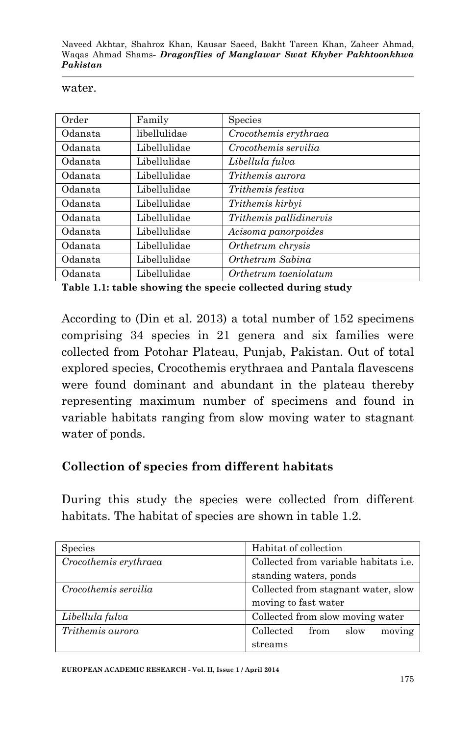Naveed Akhtar, Shahroz Khan, Kausar Saeed, Bakht Tareen Khan, Zaheer Ahmad, Waqas Ahmad Shams*- Dragonflies of Manglawar Swat Khyber Pakhtoonkhwa Pakistan*

#### water.

| Order   | Family       | Species                                |
|---------|--------------|----------------------------------------|
| Odanata | libellulidae | $\label{thm:1} Crocothemis\;erythraea$ |
| Odanata | Libellulidae | Crocothemis servilia                   |
| Odanata | Libellulidae | Libellula fulva                        |
| Odanata | Libellulidae | Trithemis aurora                       |
| Odanata | Libellulidae | Trithemis festiva                      |
| Odanata | Libellulidae | Trithemis kirbyi                       |
| Odanata | Libellulidae | Trithemis pallidinervis                |
| Odanata | Libellulidae | Acisoma panorpoides                    |
| Odanata | Libellulidae | Orthetrum chrysis                      |
| Odanata | Libellulidae | Orthetrum Sabina                       |
| Odanata | Libellulidae | Orthetrum taeniolatum                  |

**Table 1.1: table showing the specie collected during study**

According to (Din et al. 2013) a total number of 152 specimens comprising 34 species in 21 genera and six families were collected from Potohar Plateau, Punjab, Pakistan. Out of total explored species, Crocothemis erythraea and Pantala flavescens were found dominant and abundant in the plateau thereby representing maximum number of specimens and found in variable habitats ranging from slow moving water to stagnant water of ponds.

# **Collection of species from different habitats**

During this study the species were collected from different habitats. The habitat of species are shown in table 1.2.

| <b>Species</b>        | Habitat of collection                        |
|-----------------------|----------------------------------------------|
| Crocothemis erythraea | Collected from variable habitats <i>i.e.</i> |
|                       | standing waters, ponds                       |
| Crocothemis servilia  | Collected from stagnant water, slow          |
|                       | moving to fast water                         |
| Libellula fulva       | Collected from slow moving water             |
| Trithemis aurora      | moving<br>Collected<br>slow<br>from          |
|                       | streams                                      |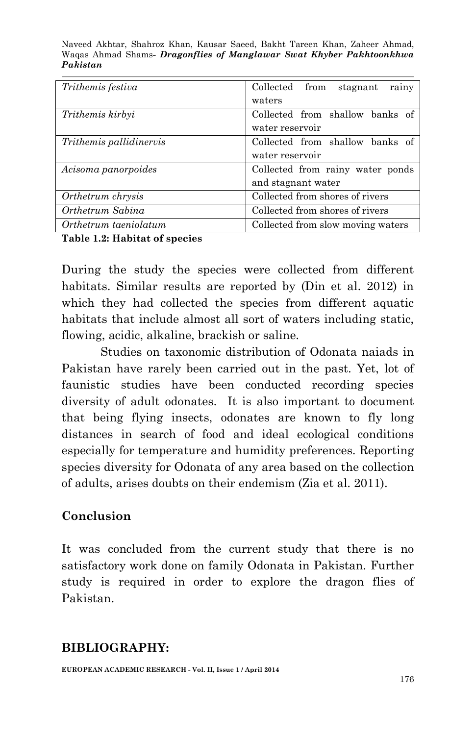Naveed Akhtar, Shahroz Khan, Kausar Saeed, Bakht Tareen Khan, Zaheer Ahmad, Waqas Ahmad Shams*- Dragonflies of Manglawar Swat Khyber Pakhtoonkhwa Pakistan*

| Trithemis festiva              | Collected from<br>stagnant<br>rainy |
|--------------------------------|-------------------------------------|
|                                | waters                              |
| Trithemis kirbyi               | Collected from shallow banks of     |
|                                | water reservoir                     |
| <i>Trithemis pallidinervis</i> | Collected from shallow banks of     |
|                                | water reservoir                     |
| Acisoma panorpoides            | Collected from rainy water ponds    |
|                                | and stagnant water                  |
| Orthetrum chrysis              | Collected from shores of rivers     |
| Orthetrum Sabina               | Collected from shores of rivers     |
| Orthetrum taeniolatum          | Collected from slow moving waters   |

**Table 1.2: Habitat of species**

During the study the species were collected from different habitats. Similar results are reported by (Din et al. 2012) in which they had collected the species from different aquatic habitats that include almost all sort of waters including static, flowing, acidic, alkaline, brackish or saline.

Studies on taxonomic distribution of Odonata naiads in Pakistan have rarely been carried out in the past. Yet, lot of faunistic studies have been conducted recording species diversity of adult odonates. It is also important to document that being flying insects, odonates are known to fly long distances in search of food and ideal ecological conditions especially for temperature and humidity preferences. Reporting species diversity for Odonata of any area based on the collection of adults, arises doubts on their endemism (Zia et al. 2011).

# **Conclusion**

It was concluded from the current study that there is no satisfactory work done on family Odonata in Pakistan. Further study is required in order to explore the dragon flies of Pakistan.

# **BIBLIOGRAPHY:**

**EUROPEAN ACADEMIC RESEARCH - Vol. II, Issue 1 / April 2014**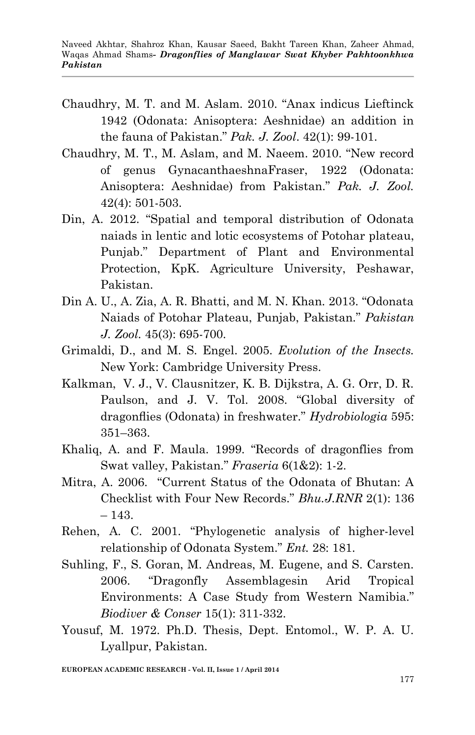- Chaudhry, M. T. and M. Aslam. 2010. "Anax indicus Lieftinck 1942 (Odonata: Anisoptera: Aeshnidae) an addition in the fauna of Pakistan." *Pak. J. Zool*. 42(1): 99-101.
- Chaudhry, M. T., M. Aslam, and M. Naeem. 2010. "New record of genus GynacanthaeshnaFraser, 1922 (Odonata: Anisoptera: Aeshnidae) from Pakistan." *Pak. J. Zool.* 42(4): 501-503.
- Din, A. 2012. "Spatial and temporal distribution of Odonata naiads in lentic and lotic ecosystems of Potohar plateau, Punjab." Department of Plant and Environmental Protection, KpK. Agriculture University, Peshawar, Pakistan.
- Din A. U., A. Zia, A. R. Bhatti, and M. N. Khan. 2013. "Odonata Naiads of Potohar Plateau, Punjab, Pakistan." *Pakistan J. Zool.* 45(3): 695-700.
- Grimaldi, D., and M. S. Engel. 2005. *Evolution of the Insects.* New York: Cambridge University Press.
- Kalkman, V. J., V. Clausnitzer, K. B. Dijkstra, A. G. Orr, D. R. Paulson, and J. V. Tol. 2008. "Global diversity of dragonflies (Odonata) in freshwater." *Hydrobiologia* 595: 351–363.
- Khaliq, A. and F. Maula. 1999. "Records of dragonflies from Swat valley, Pakistan." *Fraseria* 6(1&2): 1-2.
- Mitra, A. 2006. "Current Status of the Odonata of Bhutan: A Checklist with Four New Records." *Bhu.J.RNR* 2(1): 136 – 143.
- Rehen, A. C. 2001. "Phylogenetic analysis of higher-level relationship of Odonata System." *Ent.* 28: 181.
- Suhling, F., S. Goran, M. Andreas, M. Eugene, and S. Carsten. 2006. "Dragonfly Assemblagesin Arid Tropical Environments: A Case Study from Western Namibia." *Biodiver & Conser* 15(1): 311-332.
- Yousuf, M. 1972. Ph.D. Thesis, Dept. Entomol., W. P. A. U. Lyallpur, Pakistan.